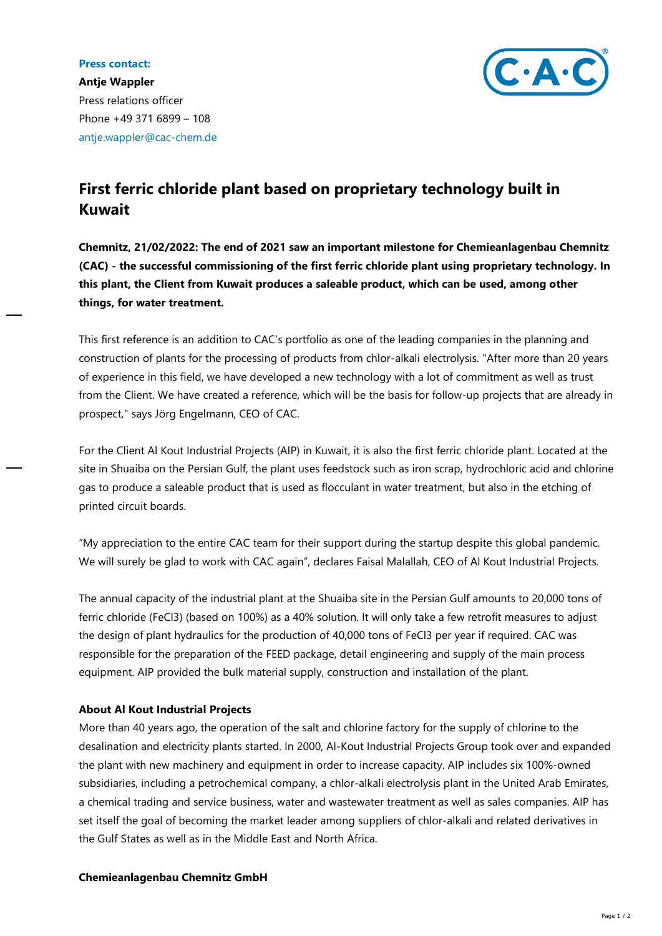## **Press contact:**



**Antje Wappler** Press relations officer Phone +49 371 6899 – 108 antje.wappler@cac-chem.de

## **First ferric chloride plant based on proprietary technology built in Kuwait**

**Chemnitz, 21/02/2022: The end of 2021 saw an important milestone for Chemieanlagenbau Chemnitz (CAC) - the successful commissioning of the first ferric chloride plant using proprietary technology. In this plant, the Client from Kuwait produces a saleable product, which can be used, among other things, for water treatment.**

This first reference is an addition to CAC's portfolio as one of the leading companies in the planning and construction of plants for the processing of products from chlor-alkali electrolysis. "After more than 20 years of experience in this field, we have developed a new technology with a lot of commitment as well as trust from the Client. We have created a reference, which will be the basis for follow-up projects that are already in prospect," says Jörg Engelmann, CEO of CAC.

For the Client Al Kout Industrial Projects (AIP) in Kuwait, it is also the first ferric chloride plant. Located at the site in Shuaiba on the Persian Gulf, the plant uses feedstock such as iron scrap, hydrochloric acid and chlorine gas to produce a saleable product that is used as flocculant in water treatment, but also in the etching of printed circuit boards.

"My appreciation to the entire CAC team for their support during the startup despite this global pandemic. We will surely be glad to work with CAC again", declares Faisal Malallah, CEO of Al Kout Industrial Projects.

The annual capacity of the industrial plant at the Shuaiba site in the Persian Gulf amounts to 20,000 tons of ferric chloride (FeCl3) (based on 100%) as a 40% solution. It will only take a few retrofit measures to adjust the design of plant hydraulics for the production of 40,000 tons of FeCl3 per year if required. CAC was responsible for the preparation of the FEED package, detail engineering and supply of the main process equipment. AIP provided the bulk material supply, construction and installation of the plant.

## **About Al Kout Industrial Projects**

More than 40 years ago, the operation of the salt and chlorine factory for the supply of chlorine to the desalination and electricity plants started. In 2000, Al-Kout Industrial Projects Group took over and expanded the plant with new machinery and equipment in order to increase capacity. AIP includes six 100%-owned subsidiaries, including a petrochemical company, a chlor-alkali electrolysis plant in the United Arab Emirates, a chemical trading and service business, water and wastewater treatment as well as sales companies. AIP has set itself the goal of becoming the market leader among suppliers of chlor-alkali and related derivatives in the Gulf States as well as in the Middle East and North Africa.

## **Chemieanlagenbau Chemnitz GmbH**